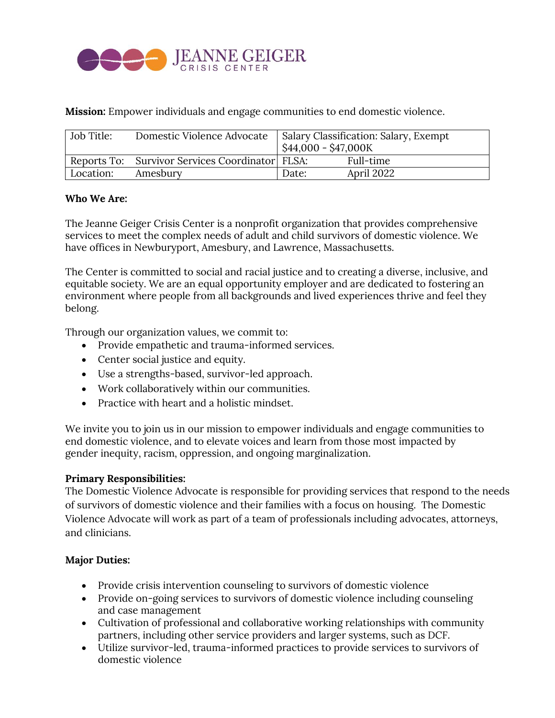

**Mission:** Empower individuals and engage communities to end domestic violence.

| Job Title: | Domestic Violence Advocate                        | Salary Classification: Salary, Exempt<br>$$44,000 - $47,000K$ |            |
|------------|---------------------------------------------------|---------------------------------------------------------------|------------|
|            | Reports To: Survivor Services Coordinator   FLSA: |                                                               | Full-time  |
| Location:  | Amesbury                                          | Date:                                                         | April 2022 |

#### **Who We Are:**

The Jeanne Geiger Crisis Center is a nonprofit organization that provides comprehensive services to meet the complex needs of adult and child survivors of domestic violence. We have offices in Newburyport, Amesbury, and Lawrence, Massachusetts.

The Center is committed to social and racial justice and to creating a diverse, inclusive, and equitable society. We are an equal opportunity employer and are dedicated to fostering an environment where people from all backgrounds and lived experiences thrive and feel they belong.

Through our organization values, we commit to:

- Provide empathetic and trauma-informed services.
- Center social justice and equity.
- Use a strengths-based, survivor-led approach.
- Work collaboratively within our communities.
- Practice with heart and a holistic mindset.

We invite you to join us in our mission to empower individuals and engage communities to end domestic violence, and to elevate voices and learn from those most impacted by gender inequity, racism, oppression, and ongoing marginalization.

### **Primary Responsibilities:**

The Domestic Violence Advocate is responsible for providing services that respond to the needs of survivors of domestic violence and their families with a focus on housing. The Domestic Violence Advocate will work as part of a team of professionals including advocates, attorneys, and clinicians.

### **Major Duties:**

- Provide crisis intervention counseling to survivors of domestic violence
- Provide on-going services to survivors of domestic violence including counseling and case management
- Cultivation of professional and collaborative working relationships with community partners, including other service providers and larger systems, such as DCF.
- Utilize survivor-led, trauma-informed practices to provide services to survivors of domestic violence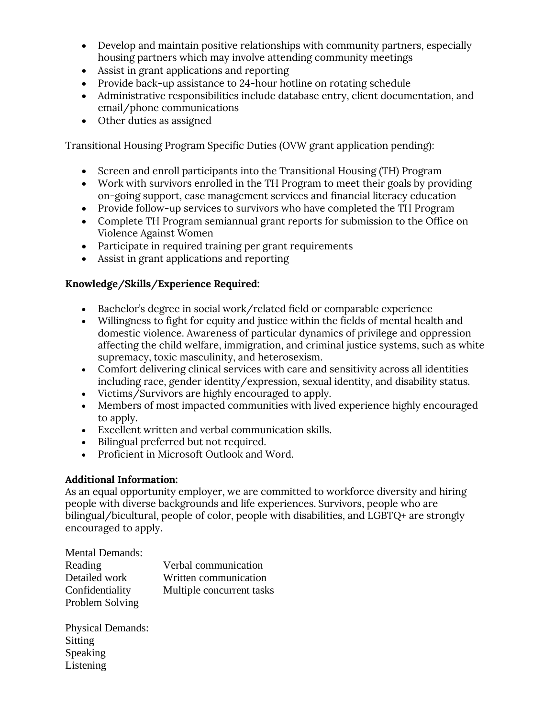- Develop and maintain positive relationships with community partners, especially housing partners which may involve attending community meetings
- Assist in grant applications and reporting
- Provide back-up assistance to 24-hour hotline on rotating schedule
- Administrative responsibilities include database entry, client documentation, and email/phone communications
- Other duties as assigned

Transitional Housing Program Specific Duties (OVW grant application pending):

- Screen and enroll participants into the Transitional Housing (TH) Program
- Work with survivors enrolled in the TH Program to meet their goals by providing on-going support, case management services and financial literacy education
- Provide follow-up services to survivors who have completed the TH Program
- Complete TH Program semiannual grant reports for submission to the Office on Violence Against Women
- Participate in required training per grant requirements
- Assist in grant applications and reporting

## **Knowledge/Skills/Experience Required:**

- Bachelor's degree in social work/related field or comparable experience
- Willingness to fight for equity and justice within the fields of mental health and domestic violence. Awareness of particular dynamics of privilege and oppression affecting the child welfare, immigration, and criminal justice systems, such as white supremacy, toxic masculinity, and heterosexism.
- Comfort delivering clinical services with care and sensitivity across all identities including race, gender identity/expression, sexual identity, and disability status.
- Victims/Survivors are highly encouraged to apply.
- Members of most impacted communities with lived experience highly encouraged to apply.
- Excellent written and verbal communication skills.
- Bilingual preferred but not required.
- Proficient in Microsoft Outlook and Word.

### **Additional Information:**

As an equal opportunity employer, we are committed to workforce diversity and hiring people with diverse backgrounds and life experiences. Survivors, people who are bilingual/bicultural, people of color, people with disabilities, and LGBTQ+ are strongly encouraged to apply.

| <b>Mental Demands:</b> |                           |
|------------------------|---------------------------|
| Reading                | Verbal communication      |
| Detailed work          | Written communication     |
| Confidentiality        | Multiple concurrent tasks |
| Problem Solving        |                           |

Physical Demands: Sitting Speaking Listening